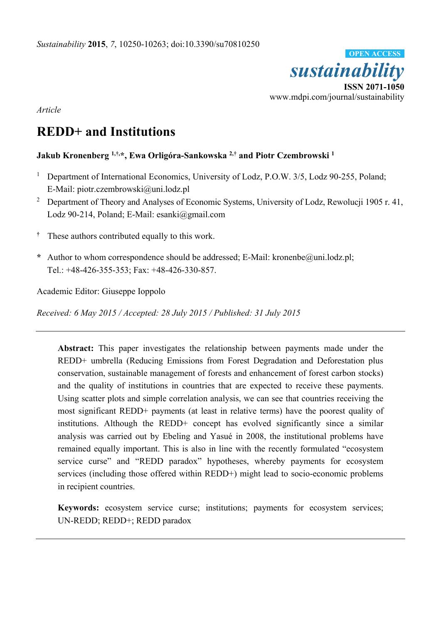

*Article* 

# **REDD+ and Institutions**

## **Jakub Kronenberg 1,†,\*, Ewa Orligóra-Sankowska 2,† and Piotr Czembrowski 1**

- 1 Department of International Economics, University of Lodz, P.O.W. 3/5, Lodz 90-255, Poland; E-Mail: piotr.czembrowski@uni.lodz.pl
- <sup>2</sup> Department of Theory and Analyses of Economic Systems, University of Lodz, Rewolucji 1905 r. 41, Lodz 90-214, Poland; E-Mail: esanki@gmail.com
- **†** These authors contributed equally to this work.
- **\*** Author to whom correspondence should be addressed; E-Mail: kronenbe@uni.lodz.pl; Tel.: +48-426-355-353; Fax: +48-426-330-857.

Academic Editor: Giuseppe Ioppolo

*Received: 6 May 2015 / Accepted: 28 July 2015 / Published: 31 July 2015* 

**Abstract:** This paper investigates the relationship between payments made under the REDD+ umbrella (Reducing Emissions from Forest Degradation and Deforestation plus conservation, sustainable management of forests and enhancement of forest carbon stocks) and the quality of institutions in countries that are expected to receive these payments. Using scatter plots and simple correlation analysis, we can see that countries receiving the most significant REDD+ payments (at least in relative terms) have the poorest quality of institutions. Although the REDD+ concept has evolved significantly since a similar analysis was carried out by Ebeling and Yasué in 2008, the institutional problems have remained equally important. This is also in line with the recently formulated "ecosystem service curse" and "REDD paradox" hypotheses, whereby payments for ecosystem services (including those offered within REDD+) might lead to socio-economic problems in recipient countries.

**Keywords:** ecosystem service curse; institutions; payments for ecosystem services; UN-REDD; REDD+; REDD paradox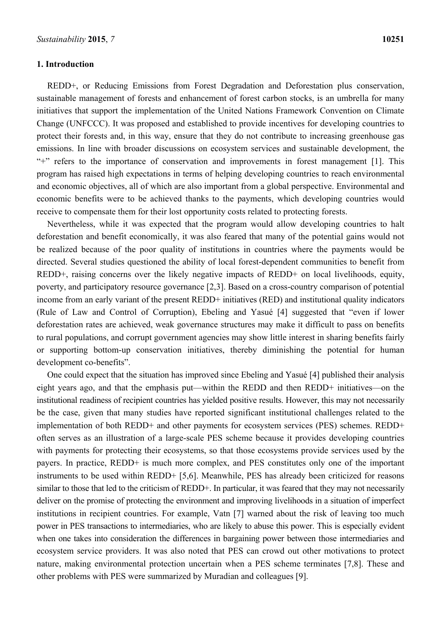### **1. Introduction**

REDD+, or Reducing Emissions from Forest Degradation and Deforestation plus conservation, sustainable management of forests and enhancement of forest carbon stocks, is an umbrella for many initiatives that support the implementation of the United Nations Framework Convention on Climate Change (UNFCCC). It was proposed and established to provide incentives for developing countries to protect their forests and, in this way, ensure that they do not contribute to increasing greenhouse gas emissions. In line with broader discussions on ecosystem services and sustainable development, the "+" refers to the importance of conservation and improvements in forest management [1]. This program has raised high expectations in terms of helping developing countries to reach environmental and economic objectives, all of which are also important from a global perspective. Environmental and economic benefits were to be achieved thanks to the payments, which developing countries would receive to compensate them for their lost opportunity costs related to protecting forests.

Nevertheless, while it was expected that the program would allow developing countries to halt deforestation and benefit economically, it was also feared that many of the potential gains would not be realized because of the poor quality of institutions in countries where the payments would be directed. Several studies questioned the ability of local forest-dependent communities to benefit from REDD+, raising concerns over the likely negative impacts of REDD+ on local livelihoods, equity, poverty, and participatory resource governance [2,3]. Based on a cross-country comparison of potential income from an early variant of the present REDD+ initiatives (RED) and institutional quality indicators (Rule of Law and Control of Corruption), Ebeling and Yasué [4] suggested that "even if lower deforestation rates are achieved, weak governance structures may make it difficult to pass on benefits to rural populations, and corrupt government agencies may show little interest in sharing benefits fairly or supporting bottom-up conservation initiatives, thereby diminishing the potential for human development co-benefits".

One could expect that the situation has improved since Ebeling and Yasué [4] published their analysis eight years ago, and that the emphasis put—within the REDD and then REDD+ initiatives—on the institutional readiness of recipient countries has yielded positive results. However, this may not necessarily be the case, given that many studies have reported significant institutional challenges related to the implementation of both REDD+ and other payments for ecosystem services (PES) schemes. REDD+ often serves as an illustration of a large-scale PES scheme because it provides developing countries with payments for protecting their ecosystems, so that those ecosystems provide services used by the payers. In practice, REDD+ is much more complex, and PES constitutes only one of the important instruments to be used within REDD+ [5,6]. Meanwhile, PES has already been criticized for reasons similar to those that led to the criticism of REDD+. In particular, it was feared that they may not necessarily deliver on the promise of protecting the environment and improving livelihoods in a situation of imperfect institutions in recipient countries. For example, Vatn [7] warned about the risk of leaving too much power in PES transactions to intermediaries, who are likely to abuse this power. This is especially evident when one takes into consideration the differences in bargaining power between those intermediaries and ecosystem service providers. It was also noted that PES can crowd out other motivations to protect nature, making environmental protection uncertain when a PES scheme terminates [7,8]. These and other problems with PES were summarized by Muradian and colleagues [9].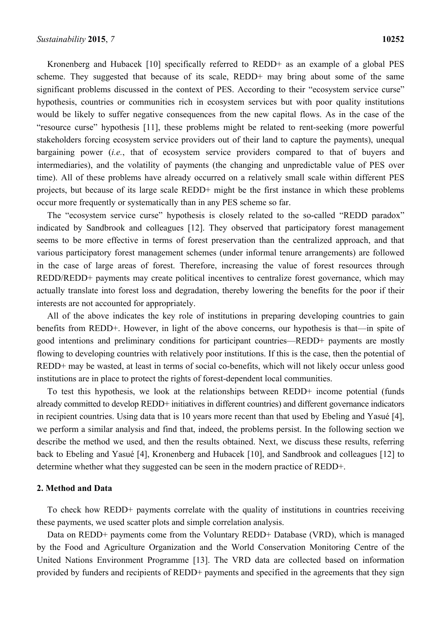Kronenberg and Hubacek [10] specifically referred to REDD+ as an example of a global PES scheme. They suggested that because of its scale, REDD+ may bring about some of the same significant problems discussed in the context of PES. According to their "ecosystem service curse" hypothesis, countries or communities rich in ecosystem services but with poor quality institutions would be likely to suffer negative consequences from the new capital flows. As in the case of the "resource curse" hypothesis [11], these problems might be related to rent-seeking (more powerful stakeholders forcing ecosystem service providers out of their land to capture the payments), unequal bargaining power (*i.e.*, that of ecosystem service providers compared to that of buyers and intermediaries), and the volatility of payments (the changing and unpredictable value of PES over time). All of these problems have already occurred on a relatively small scale within different PES projects, but because of its large scale REDD+ might be the first instance in which these problems occur more frequently or systematically than in any PES scheme so far.

The "ecosystem service curse" hypothesis is closely related to the so-called "REDD paradox" indicated by Sandbrook and colleagues [12]. They observed that participatory forest management seems to be more effective in terms of forest preservation than the centralized approach, and that various participatory forest management schemes (under informal tenure arrangements) are followed in the case of large areas of forest. Therefore, increasing the value of forest resources through REDD/REDD+ payments may create political incentives to centralize forest governance, which may actually translate into forest loss and degradation, thereby lowering the benefits for the poor if their interests are not accounted for appropriately.

All of the above indicates the key role of institutions in preparing developing countries to gain benefits from REDD+. However, in light of the above concerns, our hypothesis is that—in spite of good intentions and preliminary conditions for participant countries—REDD+ payments are mostly flowing to developing countries with relatively poor institutions. If this is the case, then the potential of REDD+ may be wasted, at least in terms of social co-benefits, which will not likely occur unless good institutions are in place to protect the rights of forest-dependent local communities.

To test this hypothesis, we look at the relationships between REDD+ income potential (funds already committed to develop REDD+ initiatives in different countries) and different governance indicators in recipient countries. Using data that is 10 years more recent than that used by Ebeling and Yasué [4], we perform a similar analysis and find that, indeed, the problems persist. In the following section we describe the method we used, and then the results obtained. Next, we discuss these results, referring back to Ebeling and Yasué [4], Kronenberg and Hubacek [10], and Sandbrook and colleagues [12] to determine whether what they suggested can be seen in the modern practice of REDD+.

#### **2. Method and Data**

To check how REDD+ payments correlate with the quality of institutions in countries receiving these payments, we used scatter plots and simple correlation analysis.

Data on REDD+ payments come from the Voluntary REDD+ Database (VRD), which is managed by the Food and Agriculture Organization and the World Conservation Monitoring Centre of the United Nations Environment Programme [13]. The VRD data are collected based on information provided by funders and recipients of REDD+ payments and specified in the agreements that they sign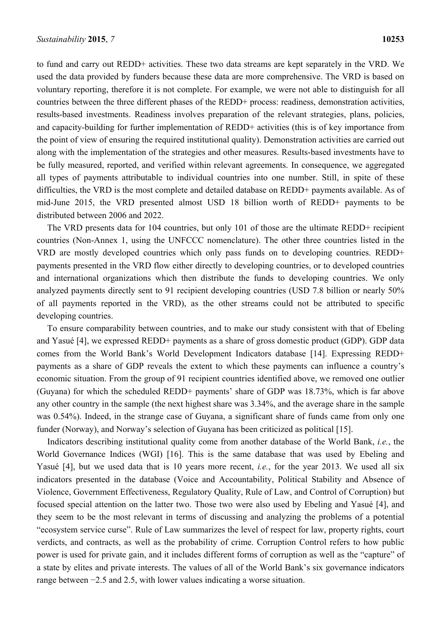to fund and carry out REDD+ activities. These two data streams are kept separately in the VRD. We used the data provided by funders because these data are more comprehensive. The VRD is based on voluntary reporting, therefore it is not complete. For example, we were not able to distinguish for all countries between the three different phases of the REDD+ process: readiness, demonstration activities, results-based investments. Readiness involves preparation of the relevant strategies, plans, policies, and capacity-building for further implementation of REDD+ activities (this is of key importance from the point of view of ensuring the required institutional quality). Demonstration activities are carried out along with the implementation of the strategies and other measures. Results-based investments have to be fully measured, reported, and verified within relevant agreements. In consequence, we aggregated all types of payments attributable to individual countries into one number. Still, in spite of these difficulties, the VRD is the most complete and detailed database on REDD+ payments available. As of mid-June 2015, the VRD presented almost USD 18 billion worth of REDD+ payments to be distributed between 2006 and 2022.

The VRD presents data for 104 countries, but only 101 of those are the ultimate REDD+ recipient countries (Non-Annex 1, using the UNFCCC nomenclature). The other three countries listed in the VRD are mostly developed countries which only pass funds on to developing countries. REDD+ payments presented in the VRD flow either directly to developing countries, or to developed countries and international organizations which then distribute the funds to developing countries. We only analyzed payments directly sent to 91 recipient developing countries (USD 7.8 billion or nearly 50% of all payments reported in the VRD), as the other streams could not be attributed to specific developing countries.

To ensure comparability between countries, and to make our study consistent with that of Ebeling and Yasué [4], we expressed REDD+ payments as a share of gross domestic product (GDP). GDP data comes from the World Bank's World Development Indicators database [14]. Expressing REDD+ payments as a share of GDP reveals the extent to which these payments can influence a country's economic situation. From the group of 91 recipient countries identified above, we removed one outlier (Guyana) for which the scheduled REDD+ payments' share of GDP was 18.73%, which is far above any other country in the sample (the next highest share was 3.34%, and the average share in the sample was 0.54%). Indeed, in the strange case of Guyana, a significant share of funds came from only one funder (Norway), and Norway's selection of Guyana has been criticized as political [15].

Indicators describing institutional quality come from another database of the World Bank, *i.e.*, the World Governance Indices (WGI) [16]. This is the same database that was used by Ebeling and Yasué [4], but we used data that is 10 years more recent, *i.e.*, for the year 2013. We used all six indicators presented in the database (Voice and Accountability, Political Stability and Absence of Violence, Government Effectiveness, Regulatory Quality, Rule of Law, and Control of Corruption) but focused special attention on the latter two. Those two were also used by Ebeling and Yasué [4], and they seem to be the most relevant in terms of discussing and analyzing the problems of a potential "ecosystem service curse". Rule of Law summarizes the level of respect for law, property rights, court verdicts, and contracts, as well as the probability of crime. Corruption Control refers to how public power is used for private gain, and it includes different forms of corruption as well as the "capture" of a state by elites and private interests. The values of all of the World Bank's six governance indicators range between −2.5 and 2.5, with lower values indicating a worse situation.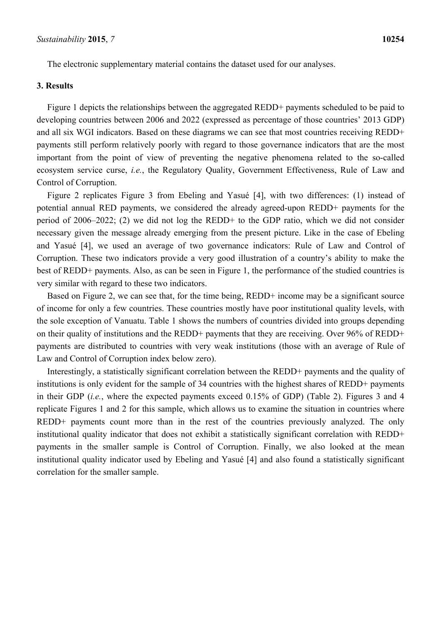The electronic supplementary material contains the dataset used for our analyses.

## **3. Results**

Figure 1 depicts the relationships between the aggregated REDD+ payments scheduled to be paid to developing countries between 2006 and 2022 (expressed as percentage of those countries' 2013 GDP) and all six WGI indicators. Based on these diagrams we can see that most countries receiving REDD+ payments still perform relatively poorly with regard to those governance indicators that are the most important from the point of view of preventing the negative phenomena related to the so-called ecosystem service curse, *i.e.*, the Regulatory Quality, Government Effectiveness, Rule of Law and Control of Corruption.

Figure 2 replicates Figure 3 from Ebeling and Yasué [4], with two differences: (1) instead of potential annual RED payments, we considered the already agreed-upon REDD+ payments for the period of 2006–2022; (2) we did not log the REDD+ to the GDP ratio, which we did not consider necessary given the message already emerging from the present picture. Like in the case of Ebeling and Yasué [4], we used an average of two governance indicators: Rule of Law and Control of Corruption. These two indicators provide a very good illustration of a country's ability to make the best of REDD+ payments. Also, as can be seen in Figure 1, the performance of the studied countries is very similar with regard to these two indicators.

Based on Figure 2, we can see that, for the time being, REDD+ income may be a significant source of income for only a few countries. These countries mostly have poor institutional quality levels, with the sole exception of Vanuatu. Table 1 shows the numbers of countries divided into groups depending on their quality of institutions and the REDD+ payments that they are receiving. Over 96% of REDD+ payments are distributed to countries with very weak institutions (those with an average of Rule of Law and Control of Corruption index below zero).

Interestingly, a statistically significant correlation between the REDD+ payments and the quality of institutions is only evident for the sample of 34 countries with the highest shares of REDD+ payments in their GDP (*i.e.*, where the expected payments exceed 0.15% of GDP) (Table 2). Figures 3 and 4 replicate Figures 1 and 2 for this sample, which allows us to examine the situation in countries where REDD+ payments count more than in the rest of the countries previously analyzed. The only institutional quality indicator that does not exhibit a statistically significant correlation with REDD+ payments in the smaller sample is Control of Corruption. Finally, we also looked at the mean institutional quality indicator used by Ebeling and Yasué [4] and also found a statistically significant correlation for the smaller sample.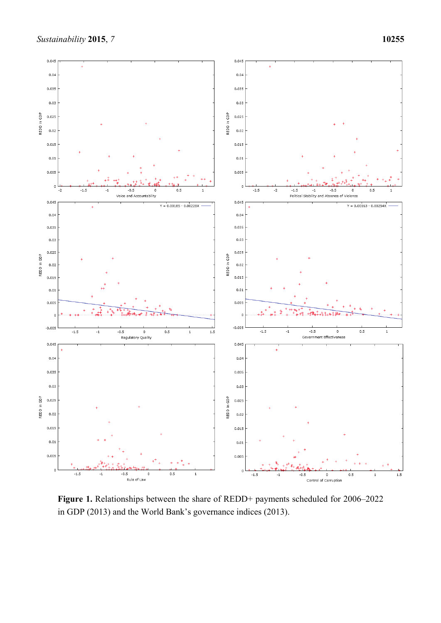

**Figure 1.** Relationships between the share of REDD+ payments scheduled for 2006–2022 in GDP (2013) and the World Bank's governance indices (2013).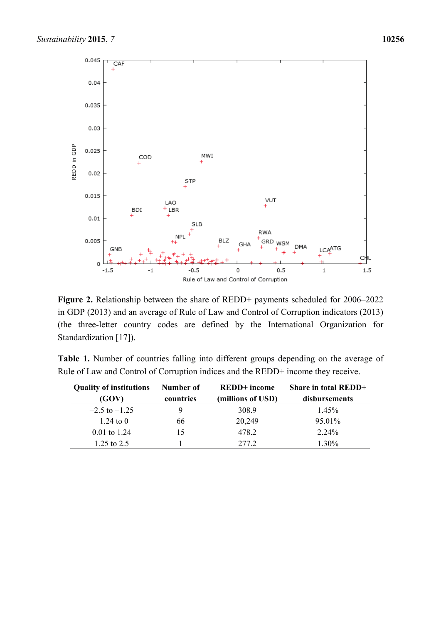

**Figure 2.** Relationship between the share of REDD+ payments scheduled for 2006–2022 in GDP (2013) and an average of Rule of Law and Control of Corruption indicators (2013) (the three-letter country codes are defined by the International Organization for Standardization [17]).

|  | Table 1. Number of countries falling into different groups depending on the average of |  |  |  |  |
|--|----------------------------------------------------------------------------------------|--|--|--|--|
|  | Rule of Law and Control of Corruption indices and the REDD+ income they receive.       |  |  |  |  |

| <b>Quality of institutions</b><br>(GOV) | Number of<br>countries | <b>REDD</b> + income<br>(millions of USD) | Share in total REDD+<br>disbursements |
|-----------------------------------------|------------------------|-------------------------------------------|---------------------------------------|
| $-2.5$ to $-1.25$                       |                        | 308.9                                     | $1.45\%$                              |
| $-1.24$ to 0                            | 66                     | 20,249                                    | 95.01%                                |
| $0.01$ to 1.24                          | 15                     | 478.2                                     | 2.24%                                 |
| 1.25 to $2.5$                           |                        | 2772                                      | 1.30%                                 |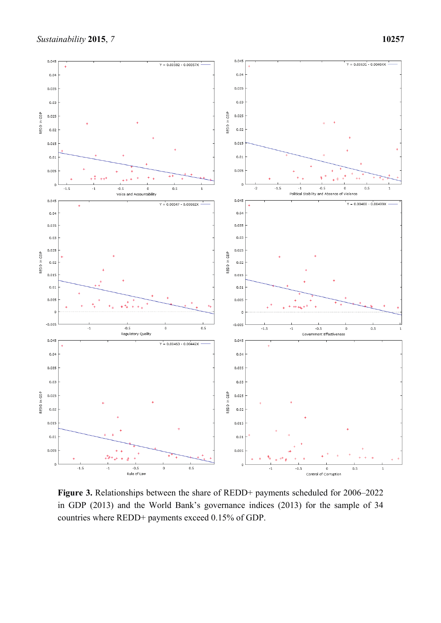

**Figure 3.** Relationships between the share of REDD+ payments scheduled for 2006–2022 in GDP (2013) and the World Bank's governance indices (2013) for the sample of 34 countries where REDD+ payments exceed 0.15% of GDP.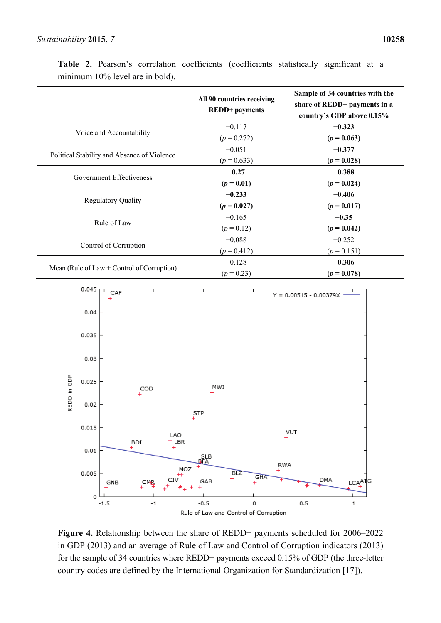|                                              | All 90 countries receiving<br><b>REDD+</b> payments | Sample of 34 countries with the<br>share of REDD+ payments in a<br>country's GDP above 0.15% |
|----------------------------------------------|-----------------------------------------------------|----------------------------------------------------------------------------------------------|
|                                              | $-0.117$                                            | $-0.323$                                                                                     |
| Voice and Accountability                     | $(p = 0.272)$                                       | $(p = 0.063)$                                                                                |
|                                              | $-0.051$                                            | $-0.377$                                                                                     |
| Political Stability and Absence of Violence  | $(p = 0.633)$                                       | $(p = 0.028)$                                                                                |
|                                              | $-0.27$                                             | $-0.388$                                                                                     |
| Government Effectiveness                     | $(p = 0.01)$                                        | $(p = 0.024)$                                                                                |
|                                              | $-0.233$                                            | $-0.406$                                                                                     |
| <b>Regulatory Quality</b>                    | $(p = 0.027)$                                       | $(p = 0.017)$                                                                                |
|                                              | $-0.165$                                            | $-0.35$                                                                                      |
| Rule of Law                                  | $(p = 0.12)$                                        | $(p = 0.042)$                                                                                |
|                                              | $-0.088$                                            | $-0.252$                                                                                     |
| Control of Corruption                        | $(p = 0.412)$                                       | $(p = 0.151)$                                                                                |
|                                              | $-0.128$                                            | $-0.306$                                                                                     |
| Mean (Rule of Law $+$ Control of Corruption) | $(p = 0.23)$                                        | $(p = 0.078)$                                                                                |

**Table 2.** Pearson's correlation coefficients (coefficients statistically significant at a minimum 10% level are in bold).



**Figure 4.** Relationship between the share of REDD+ payments scheduled for 2006–2022 in GDP (2013) and an average of Rule of Law and Control of Corruption indicators (2013) for the sample of 34 countries where REDD+ payments exceed 0.15% of GDP (the three-letter country codes are defined by the International Organization for Standardization [17]).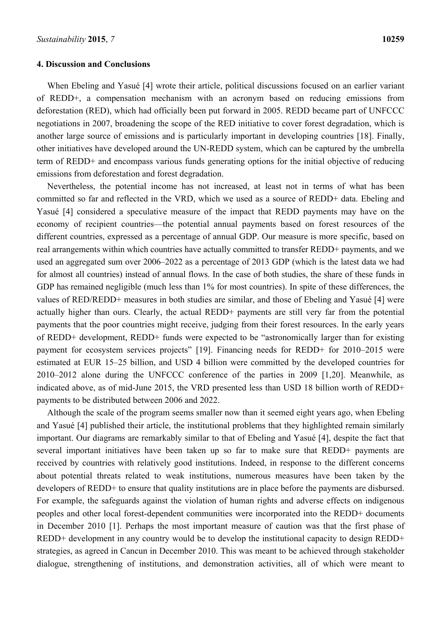#### **4. Discussion and Conclusions**

When Ebeling and Yasué [4] wrote their article, political discussions focused on an earlier variant of REDD+, a compensation mechanism with an acronym based on reducing emissions from deforestation (RED), which had officially been put forward in 2005. REDD became part of UNFCCC negotiations in 2007, broadening the scope of the RED initiative to cover forest degradation, which is another large source of emissions and is particularly important in developing countries [18]. Finally, other initiatives have developed around the UN-REDD system, which can be captured by the umbrella term of REDD+ and encompass various funds generating options for the initial objective of reducing emissions from deforestation and forest degradation.

Nevertheless, the potential income has not increased, at least not in terms of what has been committed so far and reflected in the VRD, which we used as a source of REDD+ data. Ebeling and Yasué [4] considered a speculative measure of the impact that REDD payments may have on the economy of recipient countries—the potential annual payments based on forest resources of the different countries, expressed as a percentage of annual GDP. Our measure is more specific, based on real arrangements within which countries have actually committed to transfer REDD+ payments, and we used an aggregated sum over 2006–2022 as a percentage of 2013 GDP (which is the latest data we had for almost all countries) instead of annual flows. In the case of both studies, the share of these funds in GDP has remained negligible (much less than 1% for most countries). In spite of these differences, the values of RED/REDD+ measures in both studies are similar, and those of Ebeling and Yasué [4] were actually higher than ours. Clearly, the actual REDD+ payments are still very far from the potential payments that the poor countries might receive, judging from their forest resources. In the early years of REDD+ development, REDD+ funds were expected to be "astronomically larger than for existing payment for ecosystem services projects" [19]. Financing needs for REDD+ for 2010–2015 were estimated at EUR 15–25 billion, and USD 4 billion were committed by the developed countries for 2010–2012 alone during the UNFCCC conference of the parties in 2009 [1,20]. Meanwhile, as indicated above, as of mid-June 2015, the VRD presented less than USD 18 billion worth of REDD+ payments to be distributed between 2006 and 2022.

Although the scale of the program seems smaller now than it seemed eight years ago, when Ebeling and Yasué [4] published their article, the institutional problems that they highlighted remain similarly important. Our diagrams are remarkably similar to that of Ebeling and Yasué [4], despite the fact that several important initiatives have been taken up so far to make sure that REDD+ payments are received by countries with relatively good institutions. Indeed, in response to the different concerns about potential threats related to weak institutions, numerous measures have been taken by the developers of REDD+ to ensure that quality institutions are in place before the payments are disbursed. For example, the safeguards against the violation of human rights and adverse effects on indigenous peoples and other local forest-dependent communities were incorporated into the REDD+ documents in December 2010 [1]. Perhaps the most important measure of caution was that the first phase of REDD+ development in any country would be to develop the institutional capacity to design REDD+ strategies, as agreed in Cancun in December 2010. This was meant to be achieved through stakeholder dialogue, strengthening of institutions, and demonstration activities, all of which were meant to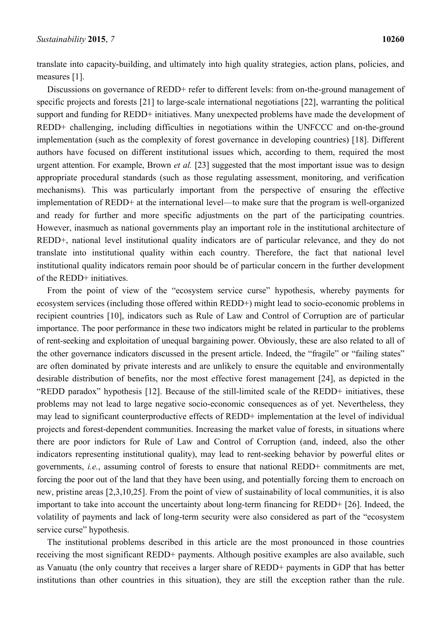translate into capacity-building, and ultimately into high quality strategies, action plans, policies, and measures [1].

Discussions on governance of REDD+ refer to different levels: from on-the-ground management of specific projects and forests [21] to large-scale international negotiations [22], warranting the political support and funding for REDD+ initiatives. Many unexpected problems have made the development of REDD+ challenging, including difficulties in negotiations within the UNFCCC and on-the-ground implementation (such as the complexity of forest governance in developing countries) [18]. Different authors have focused on different institutional issues which, according to them, required the most urgent attention. For example, Brown *et al.* [23] suggested that the most important issue was to design appropriate procedural standards (such as those regulating assessment, monitoring, and verification mechanisms). This was particularly important from the perspective of ensuring the effective implementation of REDD+ at the international level—to make sure that the program is well-organized and ready for further and more specific adjustments on the part of the participating countries. However, inasmuch as national governments play an important role in the institutional architecture of REDD+, national level institutional quality indicators are of particular relevance, and they do not translate into institutional quality within each country. Therefore, the fact that national level institutional quality indicators remain poor should be of particular concern in the further development of the REDD+ initiatives.

From the point of view of the "ecosystem service curse" hypothesis, whereby payments for ecosystem services (including those offered within REDD+) might lead to socio-economic problems in recipient countries [10], indicators such as Rule of Law and Control of Corruption are of particular importance. The poor performance in these two indicators might be related in particular to the problems of rent-seeking and exploitation of unequal bargaining power. Obviously, these are also related to all of the other governance indicators discussed in the present article. Indeed, the "fragile" or "failing states" are often dominated by private interests and are unlikely to ensure the equitable and environmentally desirable distribution of benefits, nor the most effective forest management [24], as depicted in the "REDD paradox" hypothesis [12]. Because of the still-limited scale of the REDD+ initiatives, these problems may not lead to large negative socio-economic consequences as of yet. Nevertheless, they may lead to significant counterproductive effects of REDD+ implementation at the level of individual projects and forest-dependent communities. Increasing the market value of forests, in situations where there are poor indictors for Rule of Law and Control of Corruption (and, indeed, also the other indicators representing institutional quality), may lead to rent-seeking behavior by powerful elites or governments, *i.e.*, assuming control of forests to ensure that national REDD+ commitments are met, forcing the poor out of the land that they have been using, and potentially forcing them to encroach on new, pristine areas [2,3,10,25]. From the point of view of sustainability of local communities, it is also important to take into account the uncertainty about long-term financing for REDD+ [26]. Indeed, the volatility of payments and lack of long-term security were also considered as part of the "ecosystem service curse" hypothesis.

The institutional problems described in this article are the most pronounced in those countries receiving the most significant REDD+ payments. Although positive examples are also available, such as Vanuatu (the only country that receives a larger share of REDD+ payments in GDP that has better institutions than other countries in this situation), they are still the exception rather than the rule.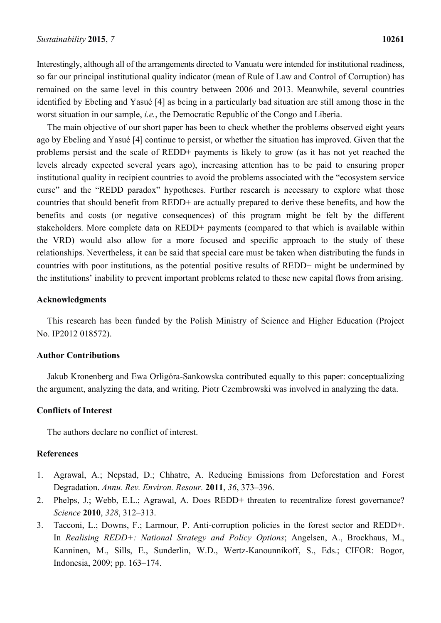Interestingly, although all of the arrangements directed to Vanuatu were intended for institutional readiness, so far our principal institutional quality indicator (mean of Rule of Law and Control of Corruption) has remained on the same level in this country between 2006 and 2013. Meanwhile, several countries identified by Ebeling and Yasué [4] as being in a particularly bad situation are still among those in the worst situation in our sample, *i.e.*, the Democratic Republic of the Congo and Liberia.

The main objective of our short paper has been to check whether the problems observed eight years ago by Ebeling and Yasué [4] continue to persist, or whether the situation has improved. Given that the problems persist and the scale of REDD+ payments is likely to grow (as it has not yet reached the levels already expected several years ago), increasing attention has to be paid to ensuring proper institutional quality in recipient countries to avoid the problems associated with the "ecosystem service curse" and the "REDD paradox" hypotheses. Further research is necessary to explore what those countries that should benefit from REDD+ are actually prepared to derive these benefits, and how the benefits and costs (or negative consequences) of this program might be felt by the different stakeholders. More complete data on REDD+ payments (compared to that which is available within the VRD) would also allow for a more focused and specific approach to the study of these relationships. Nevertheless, it can be said that special care must be taken when distributing the funds in countries with poor institutions, as the potential positive results of REDD+ might be undermined by the institutions' inability to prevent important problems related to these new capital flows from arising.

## **Acknowledgments**

This research has been funded by the Polish Ministry of Science and Higher Education (Project No. IP2012 018572).

#### **Author Contributions**

Jakub Kronenberg and Ewa Orligóra-Sankowska contributed equally to this paper: conceptualizing the argument, analyzing the data, and writing. Piotr Czembrowski was involved in analyzing the data.

## **Conflicts of Interest**

The authors declare no conflict of interest.

## **References**

- 1. Agrawal, A.; Nepstad, D.; Chhatre, A. Reducing Emissions from Deforestation and Forest Degradation. *Annu. Rev. Environ. Resour.* **2011**, *36*, 373–396.
- 2. Phelps, J.; Webb, E.L.; Agrawal, A. Does REDD+ threaten to recentralize forest governance? *Science* **2010**, *328*, 312–313.
- 3. Tacconi, L.; Downs, F.; Larmour, P. Anti-corruption policies in the forest sector and REDD+. In *Realising REDD+: National Strategy and Policy Options*; Angelsen, A., Brockhaus, M., Kanninen, M., Sills, E., Sunderlin, W.D., Wertz-Kanounnikoff, S., Eds.; CIFOR: Bogor, Indonesia, 2009; pp. 163–174.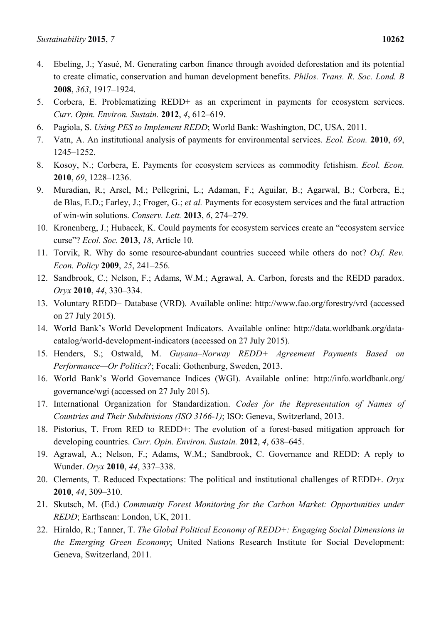- 4. Ebeling, J.; Yasué, M. Generating carbon finance through avoided deforestation and its potential to create climatic, conservation and human development benefits. *Philos. Trans. R. Soc. Lond. B*  **2008**, *363*, 1917–1924.
- 5. Corbera, E. Problematizing REDD+ as an experiment in payments for ecosystem services. *Curr. Opin. Environ. Sustain.* **2012**, *4*, 612–619.
- 6. Pagiola, S. *Using PES to Implement REDD*; World Bank: Washington, DC, USA, 2011.
- 7. Vatn, A. An institutional analysis of payments for environmental services. *Ecol. Econ.* **2010**, *69*, 1245–1252.
- 8. Kosoy, N.; Corbera, E. Payments for ecosystem services as commodity fetishism. *Ecol. Econ.* **2010**, *69*, 1228–1236.
- 9. Muradian, R.; Arsel, M.; Pellegrini, L.; Adaman, F.; Aguilar, B.; Agarwal, B.; Corbera, E.; de Blas, E.D.; Farley, J.; Froger, G.; *et al.* Payments for ecosystem services and the fatal attraction of win-win solutions. *Conserv. Lett.* **2013**, *6*, 274–279.
- 10. Kronenberg, J.; Hubacek, K. Could payments for ecosystem services create an "ecosystem service curse"? *Ecol. Soc.* **2013**, *18*, Article 10.
- 11. Torvik, R. Why do some resource-abundant countries succeed while others do not? *Oxf. Rev. Econ. Policy* **2009**, *25*, 241–256.
- 12. Sandbrook, C.; Nelson, F.; Adams, W.M.; Agrawal, A. Carbon, forests and the REDD paradox. *Oryx* **2010**, *44*, 330–334.
- 13. Voluntary REDD+ Database (VRD). Available online: http://www.fao.org/forestry/vrd (accessed on 27 July 2015).
- 14. World Bank's World Development Indicators. Available online: http://data.worldbank.org/datacatalog/world-development-indicators (accessed on 27 July 2015).
- 15. Henders, S.; Ostwald, M. *Guyana–Norway REDD+ Agreement Payments Based on Performance—Or Politics?*; Focali: Gothenburg, Sweden, 2013.
- 16. World Bank's World Governance Indices (WGI). Available online: http://info.worldbank.org/ governance/wgi (accessed on 27 July 2015).
- 17. International Organization for Standardization. *Codes for the Representation of Names of Countries and Their Subdivisions (ISO 3166-1)*; ISO: Geneva, Switzerland, 2013.
- 18. Pistorius, T. From RED to REDD+: The evolution of a forest-based mitigation approach for developing countries. *Curr. Opin. Environ. Sustain.* **2012**, *4*, 638–645.
- 19. Agrawal, A.; Nelson, F.; Adams, W.M.; Sandbrook, C. Governance and REDD: A reply to Wunder. *Oryx* **2010**, *44*, 337–338.
- 20. Clements, T. Reduced Expectations: The political and institutional challenges of REDD+. *Oryx* **2010**, *44*, 309–310.
- 21. Skutsch, M. (Ed.) *Community Forest Monitoring for the Carbon Market: Opportunities under REDD*; Earthscan: London, UK, 2011.
- 22. Hiraldo, R.; Tanner, T. *The Global Political Economy of REDD+: Engaging Social Dimensions in the Emerging Green Economy*; United Nations Research Institute for Social Development: Geneva, Switzerland, 2011.